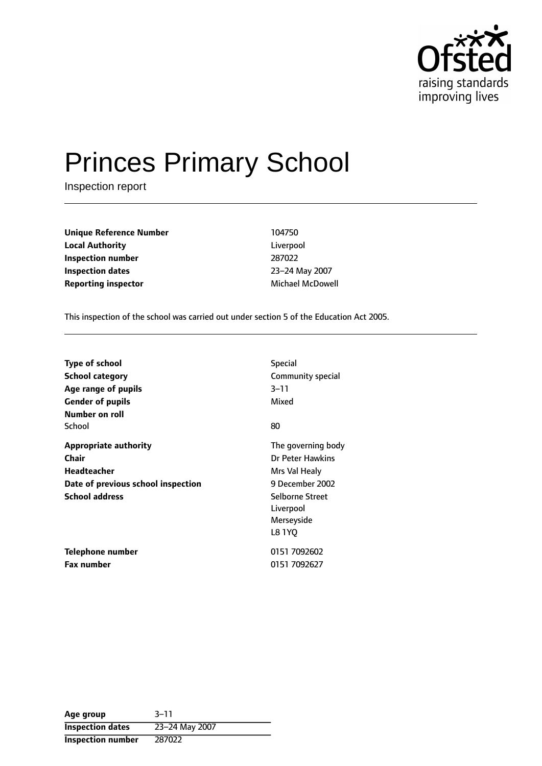

# Princes Primary School

Inspection report

**Unique Reference Number** 104750 **Local Authority** Liverpool **Inspection number** 287022 **Inspection dates** 23-24 May 2007 **Reporting inspector** Michael McDowell

This inspection of the school was carried out under section 5 of the Education Act 2005.

| <b>Type of school</b>                                                                                                      | <b>Special</b>                                                                                                                     |
|----------------------------------------------------------------------------------------------------------------------------|------------------------------------------------------------------------------------------------------------------------------------|
| <b>School category</b>                                                                                                     | Community special                                                                                                                  |
| Age range of pupils                                                                                                        | 3–11                                                                                                                               |
| <b>Gender of pupils</b>                                                                                                    | Mixed                                                                                                                              |
| Number on roll<br>School                                                                                                   | 80                                                                                                                                 |
| <b>Appropriate authority</b><br>Chair<br><b>Headteacher</b><br>Date of previous school inspection<br><b>School address</b> | The governing body<br>Dr Peter Hawkins<br>Mrs Val Healy<br>9 December 2002<br>Selborne Street<br>Liverpool<br>Merseyside<br>L8 1YO |
| Telephone number                                                                                                           | 0151 7092602                                                                                                                       |
| <b>Fax number</b>                                                                                                          | 0151 7092627                                                                                                                       |

| Age group                | $3 - 11$       |
|--------------------------|----------------|
| <b>Inspection dates</b>  | 23-24 May 2007 |
| <b>Inspection number</b> | 287022         |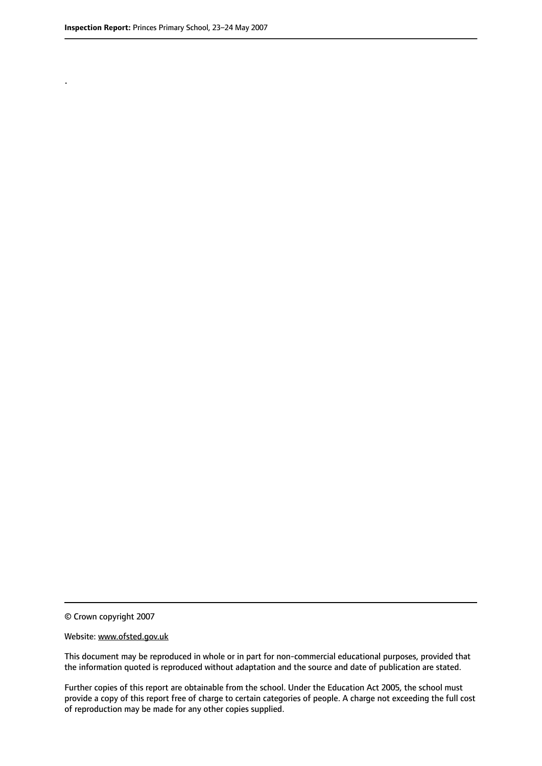.

© Crown copyright 2007

#### Website: www.ofsted.gov.uk

This document may be reproduced in whole or in part for non-commercial educational purposes, provided that the information quoted is reproduced without adaptation and the source and date of publication are stated.

Further copies of this report are obtainable from the school. Under the Education Act 2005, the school must provide a copy of this report free of charge to certain categories of people. A charge not exceeding the full cost of reproduction may be made for any other copies supplied.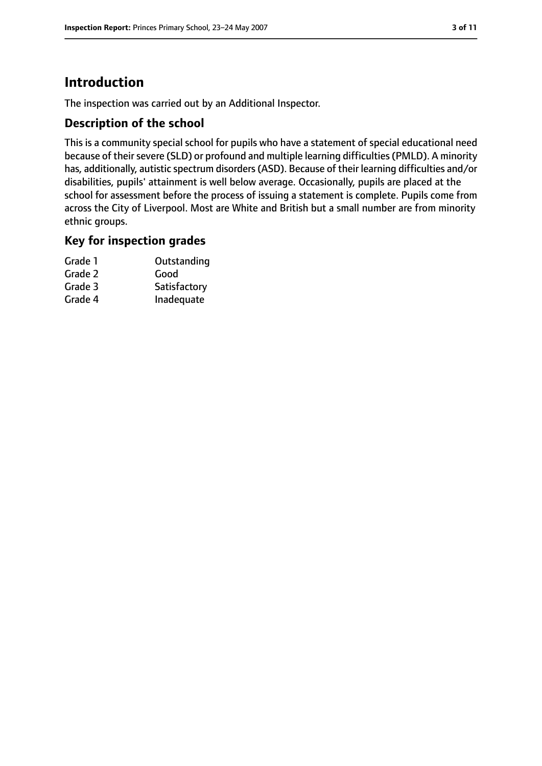# **Introduction**

The inspection was carried out by an Additional Inspector.

## **Description of the school**

This is a community special school for pupils who have a statement of special educational need because of their severe (SLD) or profound and multiple learning difficulties (PMLD). A minority has, additionally, autistic spectrum disorders(ASD). Because of their learning difficulties and/or disabilities, pupils' attainment is well below average. Occasionally, pupils are placed at the school for assessment before the process of issuing a statement is complete. Pupils come from across the City of Liverpool. Most are White and British but a small number are from minority ethnic groups.

## **Key for inspection grades**

| Grade 1 | Outstanding  |
|---------|--------------|
| Grade 2 | Good         |
| Grade 3 | Satisfactory |
| Grade 4 | Inadequate   |
|         |              |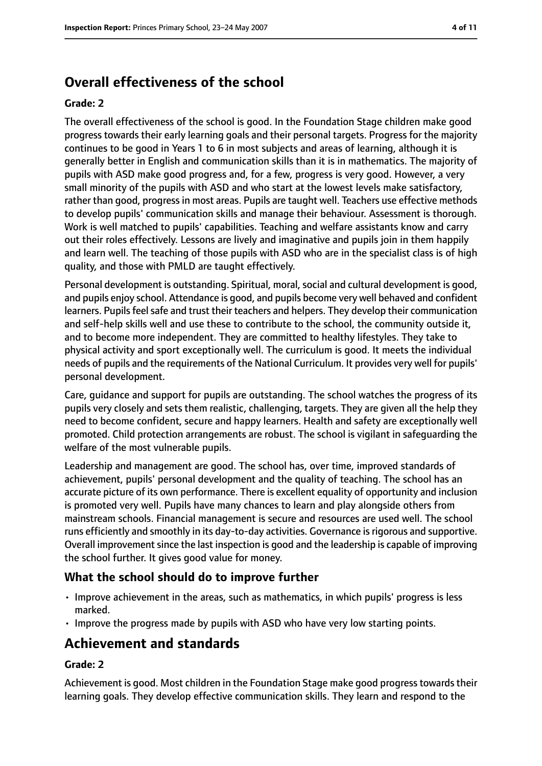# **Overall effectiveness of the school**

#### **Grade: 2**

The overall effectiveness of the school is good. In the Foundation Stage children make good progress towards their early learning goals and their personal targets. Progress for the majority continues to be good in Years 1 to 6 in most subjects and areas of learning, although it is generally better in English and communication skills than it is in mathematics. The majority of pupils with ASD make good progress and, for a few, progress is very good. However, a very small minority of the pupils with ASD and who start at the lowest levels make satisfactory, rather than good, progress in most areas. Pupils are taught well. Teachers use effective methods to develop pupils' communication skills and manage their behaviour. Assessment is thorough. Work is well matched to pupils' capabilities. Teaching and welfare assistants know and carry out their roles effectively. Lessons are lively and imaginative and pupils join in them happily and learn well. The teaching of those pupils with ASD who are in the specialist class is of high quality, and those with PMLD are taught effectively.

Personal development is outstanding. Spiritual, moral, social and cultural development is good, and pupils enjoy school. Attendance is good, and pupils become very well behaved and confident learners. Pupils feel safe and trust their teachers and helpers. They develop their communication and self-help skills well and use these to contribute to the school, the community outside it, and to become more independent. They are committed to healthy lifestyles. They take to physical activity and sport exceptionally well. The curriculum is good. It meets the individual needs of pupils and the requirements of the National Curriculum. It provides very well for pupils' personal development.

Care, guidance and support for pupils are outstanding. The school watches the progress of its pupils very closely and sets them realistic, challenging, targets. They are given all the help they need to become confident, secure and happy learners. Health and safety are exceptionally well promoted. Child protection arrangements are robust. The school is vigilant in safeguarding the welfare of the most vulnerable pupils.

Leadership and management are good. The school has, over time, improved standards of achievement, pupils' personal development and the quality of teaching. The school has an accurate picture of its own performance. There is excellent equality of opportunity and inclusion is promoted very well. Pupils have many chances to learn and play alongside others from mainstream schools. Financial management is secure and resources are used well. The school runs efficiently and smoothly in its day-to-day activities. Governance is rigorous and supportive. Overall improvement since the last inspection is good and the leadership is capable of improving the school further. It gives good value for money.

#### **What the school should do to improve further**

- Improve achievement in the areas, such as mathematics, in which pupils' progress is less marked.
- Improve the progress made by pupils with ASD who have very low starting points.

# **Achievement and standards**

#### **Grade: 2**

Achievement is good. Most children in the Foundation Stage make good progresstowardstheir learning goals. They develop effective communication skills. They learn and respond to the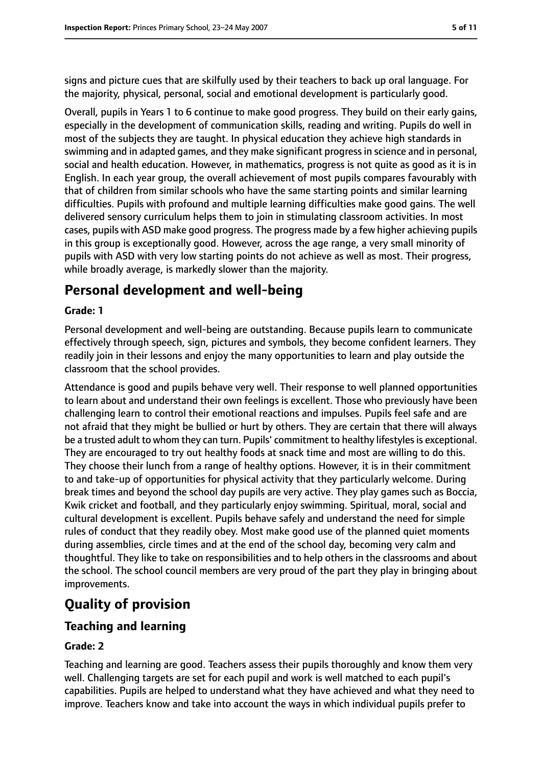signs and picture cues that are skilfully used by their teachers to back up oral language. For the majority, physical, personal, social and emotional development is particularly good.

Overall, pupils in Years 1 to 6 continue to make good progress. They build on their early gains, especially in the development of communication skills, reading and writing. Pupils do well in most of the subjects they are taught. In physical education they achieve high standards in swimming and in adapted games, and they make significant progressin science and in personal, social and health education. However, in mathematics, progress is not quite as good as it is in English. In each year group, the overall achievement of most pupils compares favourably with that of children from similar schools who have the same starting points and similar learning difficulties. Pupils with profound and multiple learning difficulties make good gains. The well delivered sensory curriculum helps them to join in stimulating classroom activities. In most cases, pupils with ASD make good progress. The progress made by a few higher achieving pupils in this group is exceptionally good. However, across the age range, a very small minority of pupils with ASD with very low starting points do not achieve as well as most. Their progress, while broadly average, is markedly slower than the majority.

# **Personal development and well-being**

#### **Grade: 1**

Personal development and well-being are outstanding. Because pupils learn to communicate effectively through speech, sign, pictures and symbols, they become confident learners. They readily join in their lessons and enjoy the many opportunities to learn and play outside the classroom that the school provides.

Attendance is good and pupils behave very well. Their response to well planned opportunities to learn about and understand their own feelings is excellent. Those who previously have been challenging learn to control their emotional reactions and impulses. Pupils feel safe and are not afraid that they might be bullied or hurt by others. They are certain that there will always be a trusted adult to whom they can turn. Pupils' commitment to healthy lifestyles is exceptional. They are encouraged to try out healthy foods at snack time and most are willing to do this. They choose their lunch from a range of healthy options. However, it is in their commitment to and take-up of opportunities for physical activity that they particularly welcome. During break times and beyond the school day pupils are very active. They play games such as Boccia, Kwik cricket and football, and they particularly enjoy swimming. Spiritual, moral, social and cultural development is excellent. Pupils behave safely and understand the need for simple rules of conduct that they readily obey. Most make good use of the planned quiet moments during assemblies, circle times and at the end of the school day, becoming very calm and thoughtful. They like to take on responsibilities and to help others in the classrooms and about the school. The school council members are very proud of the part they play in bringing about improvements.

# **Quality of provision**

#### **Teaching and learning**

#### **Grade: 2**

Teaching and learning are good. Teachers assess their pupils thoroughly and know them very well. Challenging targets are set for each pupil and work is well matched to each pupil's capabilities. Pupils are helped to understand what they have achieved and what they need to improve. Teachers know and take into account the ways in which individual pupils prefer to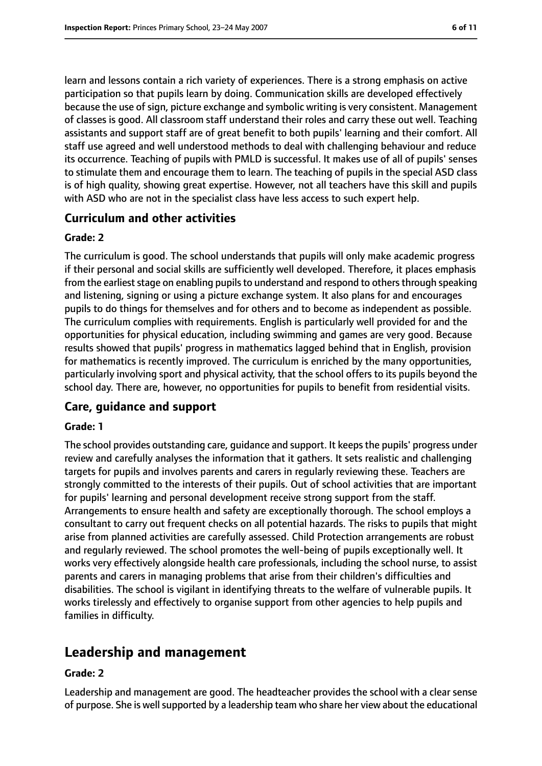learn and lessons contain a rich variety of experiences. There is a strong emphasis on active participation so that pupils learn by doing. Communication skills are developed effectively because the use of sign, picture exchange and symbolic writing is very consistent. Management of classes is good. All classroom staff understand their roles and carry these out well. Teaching assistants and support staff are of great benefit to both pupils' learning and their comfort. All staff use agreed and well understood methods to deal with challenging behaviour and reduce its occurrence. Teaching of pupils with PMLD is successful. It makes use of all of pupils' senses to stimulate them and encourage them to learn. The teaching of pupils in the special ASD class is of high quality, showing great expertise. However, not all teachers have this skill and pupils with ASD who are not in the specialist class have less access to such expert help.

#### **Curriculum and other activities**

#### **Grade: 2**

The curriculum is good. The school understands that pupils will only make academic progress if their personal and social skills are sufficiently well developed. Therefore, it places emphasis from the earliest stage on enabling pupils to understand and respond to others through speaking and listening, signing or using a picture exchange system. It also plans for and encourages pupils to do things for themselves and for others and to become as independent as possible. The curriculum complies with requirements. English is particularly well provided for and the opportunities for physical education, including swimming and games are very good. Because results showed that pupils' progress in mathematics lagged behind that in English, provision for mathematics is recently improved. The curriculum is enriched by the many opportunities, particularly involving sport and physical activity, that the school offers to its pupils beyond the school day. There are, however, no opportunities for pupils to benefit from residential visits.

#### **Care, guidance and support**

#### **Grade: 1**

The school provides outstanding care, guidance and support. It keeps the pupils' progress under review and carefully analyses the information that it gathers. It sets realistic and challenging targets for pupils and involves parents and carers in regularly reviewing these. Teachers are strongly committed to the interests of their pupils. Out of school activities that are important for pupils' learning and personal development receive strong support from the staff. Arrangements to ensure health and safety are exceptionally thorough. The school employs a consultant to carry out frequent checks on all potential hazards. The risks to pupils that might arise from planned activities are carefully assessed. Child Protection arrangements are robust and regularly reviewed. The school promotes the well-being of pupils exceptionally well. It works very effectively alongside health care professionals, including the school nurse, to assist parents and carers in managing problems that arise from their children's difficulties and disabilities. The school is vigilant in identifying threats to the welfare of vulnerable pupils. It works tirelessly and effectively to organise support from other agencies to help pupils and families in difficulty.

# **Leadership and management**

#### **Grade: 2**

Leadership and management are good. The headteacher provides the school with a clear sense of purpose. She is well supported by a leadership team who share her view about the educational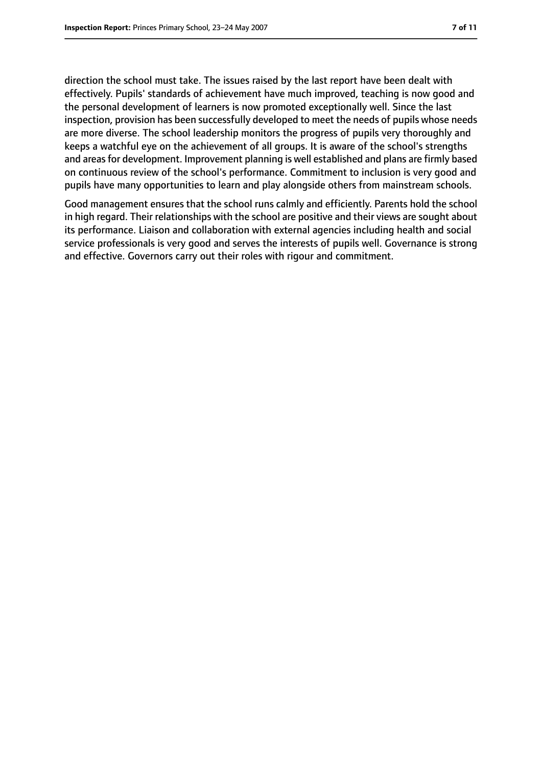direction the school must take. The issues raised by the last report have been dealt with effectively. Pupils' standards of achievement have much improved, teaching is now good and the personal development of learners is now promoted exceptionally well. Since the last inspection, provision has been successfully developed to meet the needs of pupils whose needs are more diverse. The school leadership monitors the progress of pupils very thoroughly and keeps a watchful eye on the achievement of all groups. It is aware of the school's strengths and areas for development. Improvement planning is well established and plans are firmly based on continuous review of the school's performance. Commitment to inclusion is very good and pupils have many opportunities to learn and play alongside others from mainstream schools.

Good management ensures that the school runs calmly and efficiently. Parents hold the school in high regard. Their relationships with the school are positive and their views are sought about its performance. Liaison and collaboration with external agencies including health and social service professionals is very good and serves the interests of pupils well. Governance is strong and effective. Governors carry out their roles with rigour and commitment.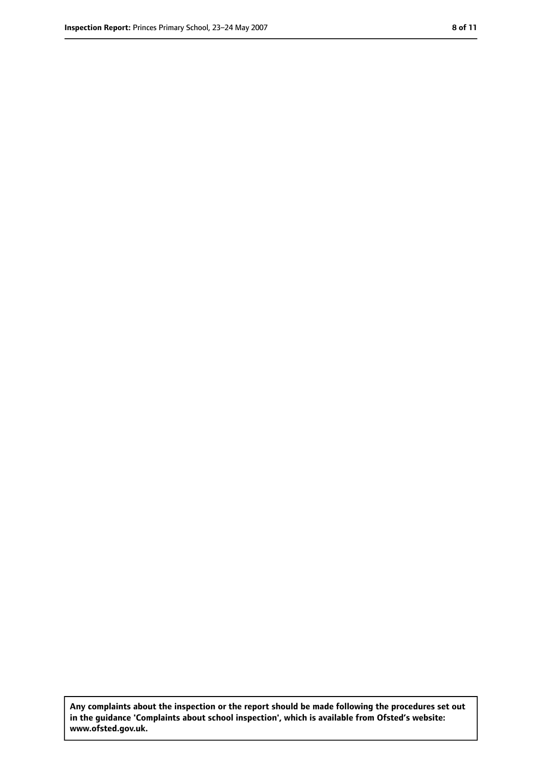**Any complaints about the inspection or the report should be made following the procedures set out in the guidance 'Complaints about school inspection', which is available from Ofsted's website: www.ofsted.gov.uk.**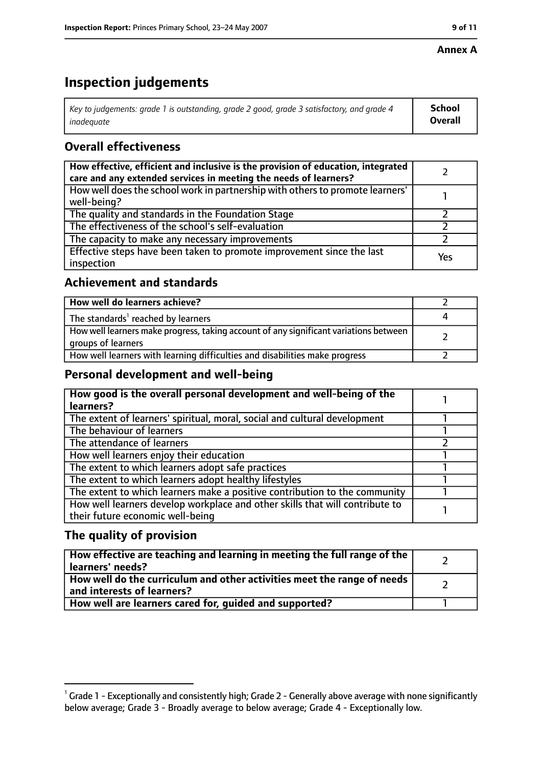#### **Annex A**

# **Inspection judgements**

| Key to judgements: grade 1 is outstanding, grade 2 good, grade 3 satisfactory, and grade 4 | <b>School</b>  |
|--------------------------------------------------------------------------------------------|----------------|
| inadeauate                                                                                 | <b>Overall</b> |

## **Overall effectiveness**

| How effective, efficient and inclusive is the provision of education, integrated<br>care and any extended services in meeting the needs of learners? |     |
|------------------------------------------------------------------------------------------------------------------------------------------------------|-----|
| How well does the school work in partnership with others to promote learners'<br>well-being?                                                         |     |
| The quality and standards in the Foundation Stage                                                                                                    |     |
| The effectiveness of the school's self-evaluation                                                                                                    |     |
| The capacity to make any necessary improvements                                                                                                      |     |
| Effective steps have been taken to promote improvement since the last<br>inspection                                                                  | Yes |

## **Achievement and standards**

| How well do learners achieve?                                                                               |  |
|-------------------------------------------------------------------------------------------------------------|--|
| The standards <sup>1</sup> reached by learners                                                              |  |
| How well learners make progress, taking account of any significant variations between<br>groups of learners |  |
| How well learners with learning difficulties and disabilities make progress                                 |  |

## **Personal development and well-being**

| How good is the overall personal development and well-being of the<br>learners? |  |
|---------------------------------------------------------------------------------|--|
|                                                                                 |  |
| The extent of learners' spiritual, moral, social and cultural development       |  |
| The behaviour of learners                                                       |  |
| The attendance of learners                                                      |  |
| How well learners enjoy their education                                         |  |
| The extent to which learners adopt safe practices                               |  |
| The extent to which learners adopt healthy lifestyles                           |  |
| The extent to which learners make a positive contribution to the community      |  |
| How well learners develop workplace and other skills that will contribute to    |  |
| their future economic well-being                                                |  |

## **The quality of provision**

| How effective are teaching and learning in meeting the full range of the<br>learners' needs?          |  |
|-------------------------------------------------------------------------------------------------------|--|
| How well do the curriculum and other activities meet the range of needs<br>and interests of learners? |  |
| How well are learners cared for, quided and supported?                                                |  |

 $^1$  Grade 1 - Exceptionally and consistently high; Grade 2 - Generally above average with none significantly below average; Grade 3 - Broadly average to below average; Grade 4 - Exceptionally low.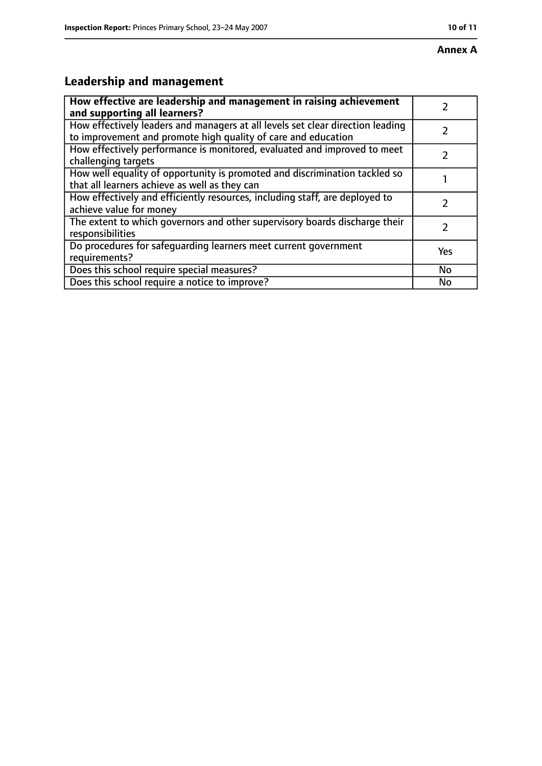# **Leadership and management**

| How effective are leadership and management in raising achievement<br>and supporting all learners?                                              |           |
|-------------------------------------------------------------------------------------------------------------------------------------------------|-----------|
| How effectively leaders and managers at all levels set clear direction leading<br>to improvement and promote high quality of care and education |           |
| How effectively performance is monitored, evaluated and improved to meet<br>challenging targets                                                 |           |
| How well equality of opportunity is promoted and discrimination tackled so<br>that all learners achieve as well as they can                     |           |
| How effectively and efficiently resources, including staff, are deployed to<br>achieve value for money                                          | 7         |
| The extent to which governors and other supervisory boards discharge their<br>responsibilities                                                  | 7         |
| Do procedures for safequarding learners meet current government<br>requirements?                                                                | Yes       |
| Does this school require special measures?                                                                                                      | <b>No</b> |
| Does this school require a notice to improve?                                                                                                   | No        |